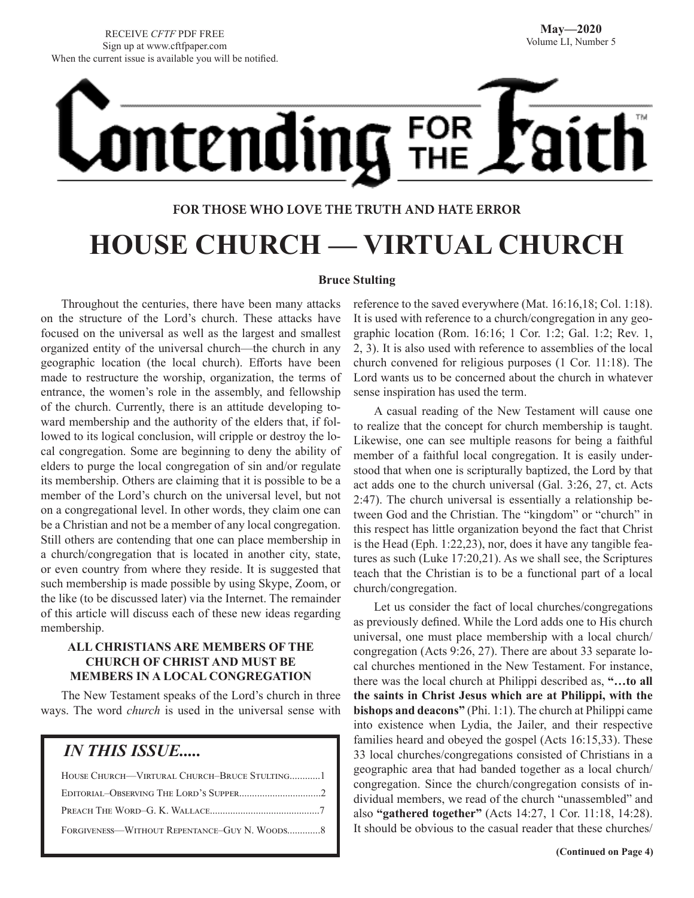# <u>ontending</u> FOR<br>THE

### **FOR THOSE WHO LOVE THE TRUTH AND HATE ERROR**

# **HOUSE CHURCH — VIRTUAL CHURCH**

### **Bruce Stulting**

Throughout the centuries, there have been many attacks on the structure of the Lord's church. These attacks have focused on the universal as well as the largest and smallest organized entity of the universal church—the church in any geographic location (the local church). Efforts have been made to restructure the worship, organization, the terms of entrance, the women's role in the assembly, and fellowship of the church. Currently, there is an attitude developing toward membership and the authority of the elders that, if followed to its logical conclusion, will cripple or destroy the local congregation. Some are beginning to deny the ability of elders to purge the local congregation of sin and/or regulate its membership. Others are claiming that it is possible to be a member of the Lord's church on the universal level, but not on a congregational level. In other words, they claim one can be a Christian and not be a member of any local congregation. Still others are contending that one can place membership in a church/congregation that is located in another city, state, or even country from where they reside. It is suggested that such membership is made possible by using Skype, Zoom, or the like (to be discussed later) via the Internet. The remainder of this article will discuss each of these new ideas regarding membership.

### **ALL CHRISTIANS ARE MEMBERS OF THE CHURCH OF CHRIST AND MUST BE MEMBERS IN A LOCAL CONGREGATION**

The New Testament speaks of the Lord's church in three ways. The word *church* is used in the universal sense with

### *IN THIS ISSUE.....*

| FORGIVENESS—WITHOUT REPENTANCE–GUY N. WOODS8 |
|----------------------------------------------|

reference to the saved everywhere (Mat. 16:16,18; Col. 1:18). It is used with reference to a church/congregation in any geographic location (Rom. 16:16; 1 Cor. 1:2; Gal. 1:2; Rev. 1, 2, 3). It is also used with reference to assemblies of the local church convened for religious purposes (1 Cor. 11:18). The Lord wants us to be concerned about the church in whatever sense inspiration has used the term.

A casual reading of the New Testament will cause one to realize that the concept for church membership is taught. Likewise, one can see multiple reasons for being a faithful member of a faithful local congregation. It is easily understood that when one is scripturally baptized, the Lord by that act adds one to the church universal (Gal. 3:26, 27, ct. Acts 2:47). The church universal is essentially a relationship between God and the Christian. The "kingdom" or "church" in this respect has little organization beyond the fact that Christ is the Head (Eph. 1:22,23), nor, does it have any tangible features as such (Luke 17:20,21). As we shall see, the Scriptures teach that the Christian is to be a functional part of a local church/congregation.

Let us consider the fact of local churches/congregations as previously defined. While the Lord adds one to His church universal, one must place membership with a local church/ congregation (Acts 9:26, 27). There are about 33 separate local churches mentioned in the New Testament. For instance, there was the local church at Philippi described as, **"…to all the saints in Christ Jesus which are at Philippi, with the bishops and deacons"** (Phi. 1:1). The church at Philippi came into existence when Lydia, the Jailer, and their respective families heard and obeyed the gospel (Acts 16:15,33). These 33 local churches/congregations consisted of Christians in a geographic area that had banded together as a local church/ congregation. Since the church/congregation consists of individual members, we read of the church "unassembled" and also **"gathered together"** (Acts 14:27, 1 Cor. 11:18, 14:28). It should be obvious to the casual reader that these churches/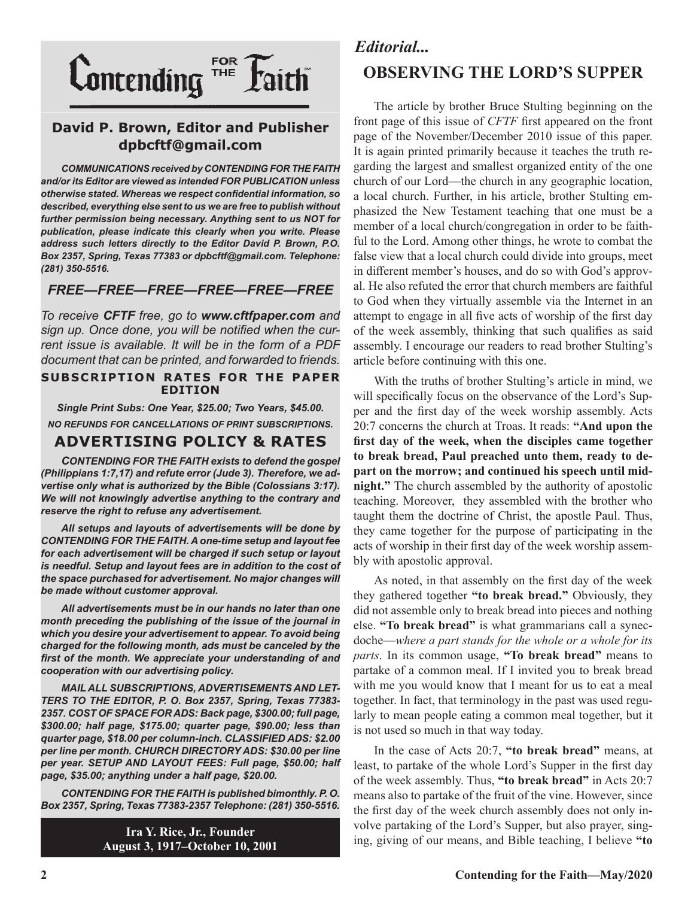

### **David P. Brown, Editor and Publisher dpbcftf@gmail.com**

*COMMUNICATIONS received by CONTENDING FOR THE FAITH and/or its Editor are viewed as intended FOR PUBLICATION unless otherwise stated. Whereas we respect confidential information, so described, everything else sent to us we are free to publish without further permission being necessary. Anything sent to us NOT for publication, please indicate this clearly when you write. Please address such letters directly to the Editor David P. Brown, P.O. Box 2357, Spring, Texas 77383 or dpbcftf@gmail.com. Telephone: (281) 350-5516.*

### *FREE—FREE—FREE—FREE—FREE—FREE*

*To receive CFTF free, go to www.cftfpaper.com and sign up. Once done, you will be notified when the current issue is available. It will be in the form of a PDF document that can be printed, and forwarded to friends.*

#### **SUBSCRIPTION RATES FOR THE PAPER EDITION**

*Single Print Subs: One Year, \$25.00; Two Years, \$45.00. NO REFUNDS FOR CANCELLATIONS OF PRINT SUBSCRIPTIONS.*

### **ADVERTISING POLICY & RATES**

*CONTENDING FOR THE FAITH exists to defend the gospel (Philippians 1:7,17) and refute error (Jude 3). Therefore, we advertise only what is authorized by the Bible (Colossians 3:17). We will not knowingly advertise anything to the contrary and reserve the right to refuse any advertisement.*

*All setups and layouts of advertisements will be done by CONTENDING FOR THE FAITH. A one-time setup and layout fee for each advertisement will be charged if such setup or layout is needful. Setup and layout fees are in addition to the cost of the space purchased for advertisement. No major changes will be made without customer approval.*

*All advertisements must be in our hands no later than one month preceding the publishing of the issue of the journal in which you desire your advertisement to appear. To avoid being charged for the following month, ads must be canceled by the first of the month. We appreciate your understanding of and cooperation with our advertising policy.*

*MAIL ALL SUBSCRIPTIONS, ADVERTISEMENTS AND LET-TERS TO THE EDITOR, P. O. Box 2357, Spring, Texas 77383- 2357. COST OF SPACE FOR ADS: Back page, \$300.00; full page, \$300.00; half page, \$175.00; quarter page, \$90.00; less than quarter page, \$18.00 per column-inch. CLASSIFIED ADS: \$2.00 per line per month. CHURCH DIRECTORY ADS: \$30.00 per line per year. SETUP AND LAYOUT FEES: Full page, \$50.00; half page, \$35.00; anything under a half page, \$20.00.*

*CONTENDING FOR THE FAITH is published bimonthly. P. O. Box 2357, Spring, Texas 77383-2357 Telephone: (281) 350-5516.*

> **Ira Y. Rice, Jr., Founder August 3, 1917–October 10, 2001**

### *Editorial...* **OBSERVING THE LORD'S SUPPER**

The article by brother Bruce Stulting beginning on the front page of this issue of *CFTF* first appeared on the front page of the November/December 2010 issue of this paper. It is again printed primarily because it teaches the truth regarding the largest and smallest organized entity of the one church of our Lord—the church in any geographic location, a local church. Further, in his article, brother Stulting emphasized the New Testament teaching that one must be a member of a local church/congregation in order to be faithful to the Lord. Among other things, he wrote to combat the false view that a local church could divide into groups, meet in different member's houses, and do so with God's approval. He also refuted the error that church members are faithful to God when they virtually assemble via the Internet in an attempt to engage in all five acts of worship of the first day of the week assembly, thinking that such qualifies as said assembly. I encourage our readers to read brother Stulting's article before continuing with this one.

With the truths of brother Stulting's article in mind, we will specifically focus on the observance of the Lord's Supper and the first day of the week worship assembly. Acts 20:7 concerns the church at Troas. It reads: **"And upon the first day of the week, when the disciples came together to break bread, Paul preached unto them, ready to depart on the morrow; and continued his speech until midnight."** The church assembled by the authority of apostolic teaching. Moreover, they assembled with the brother who taught them the doctrine of Christ, the apostle Paul. Thus, they came together for the purpose of participating in the acts of worship in their first day of the week worship assembly with apostolic approval.

As noted, in that assembly on the first day of the week they gathered together **"to break bread."** Obviously, they did not assemble only to break bread into pieces and nothing else. **"To break bread"** is what grammarians call a synecdoche—*where a part stands for the whole or a whole for its parts*. In its common usage, **"To break bread"** means to partake of a common meal. If I invited you to break bread with me you would know that I meant for us to eat a meal together. In fact, that terminology in the past was used regularly to mean people eating a common meal together, but it is not used so much in that way today.

In the case of Acts 20:7, **"to break bread"** means, at least, to partake of the whole Lord's Supper in the first day of the week assembly. Thus, **"to break bread"** in Acts 20:7 means also to partake of the fruit of the vine. However, since the first day of the week church assembly does not only involve partaking of the Lord's Supper, but also prayer, singing, giving of our means, and Bible teaching, I believe **"to**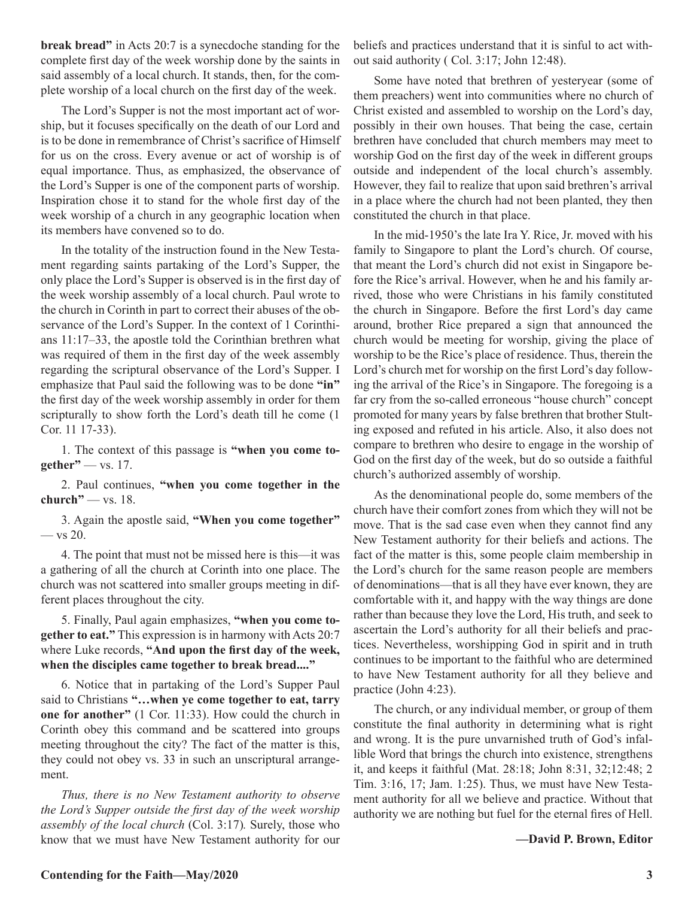**break bread"** in Acts 20:7 is a synecdoche standing for the complete first day of the week worship done by the saints in said assembly of a local church. It stands, then, for the complete worship of a local church on the first day of the week.

The Lord's Supper is not the most important act of worship, but it focuses specifically on the death of our Lord and is to be done in remembrance of Christ's sacrifice of Himself for us on the cross. Every avenue or act of worship is of equal importance. Thus, as emphasized, the observance of the Lord's Supper is one of the component parts of worship. Inspiration chose it to stand for the whole first day of the week worship of a church in any geographic location when its members have convened so to do.

In the totality of the instruction found in the New Testament regarding saints partaking of the Lord's Supper, the only place the Lord's Supper is observed is in the first day of the week worship assembly of a local church. Paul wrote to the church in Corinth in part to correct their abuses of the observance of the Lord's Supper. In the context of 1 Corinthians 11:17–33, the apostle told the Corinthian brethren what was required of them in the first day of the week assembly regarding the scriptural observance of the Lord's Supper. I emphasize that Paul said the following was to be done **"in"** the first day of the week worship assembly in order for them scripturally to show forth the Lord's death till he come (1 Cor. 11 17-33).

1. The context of this passage is **"when you come together"** — vs. 17.

2. Paul continues, **"when you come together in the church"** — vs. 18.

3. Again the apostle said, **"When you come together"** — vs 20.

4. The point that must not be missed here is this—it was a gathering of all the church at Corinth into one place. The church was not scattered into smaller groups meeting in different places throughout the city.

5. Finally, Paul again emphasizes, **"when you come together to eat."** This expression is in harmony with Acts 20:7 where Luke records, **"And upon the first day of the week, when the disciples came together to break bread...."**

6. Notice that in partaking of the Lord's Supper Paul said to Christians **"…when ye come together to eat, tarry one for another"** (1 Cor. 11:33). How could the church in Corinth obey this command and be scattered into groups meeting throughout the city? The fact of the matter is this, they could not obey vs. 33 in such an unscriptural arrangement.

*Thus, there is no New Testament authority to observe the Lord's Supper outside the first day of the week worship assembly of the local church* (Col. 3:17)*.* Surely, those who know that we must have New Testament authority for our beliefs and practices understand that it is sinful to act without said authority ( Col. 3:17; John 12:48).

Some have noted that brethren of yesteryear (some of them preachers) went into communities where no church of Christ existed and assembled to worship on the Lord's day, possibly in their own houses. That being the case, certain brethren have concluded that church members may meet to worship God on the first day of the week in different groups outside and independent of the local church's assembly. However, they fail to realize that upon said brethren's arrival in a place where the church had not been planted, they then constituted the church in that place.

In the mid-1950's the late Ira Y. Rice, Jr. moved with his family to Singapore to plant the Lord's church. Of course, that meant the Lord's church did not exist in Singapore before the Rice's arrival. However, when he and his family arrived, those who were Christians in his family constituted the church in Singapore. Before the first Lord's day came around, brother Rice prepared a sign that announced the church would be meeting for worship, giving the place of worship to be the Rice's place of residence. Thus, therein the Lord's church met for worship on the first Lord's day following the arrival of the Rice's in Singapore. The foregoing is a far cry from the so-called erroneous "house church" concept promoted for many years by false brethren that brother Stulting exposed and refuted in his article. Also, it also does not compare to brethren who desire to engage in the worship of God on the first day of the week, but do so outside a faithful church's authorized assembly of worship.

As the denominational people do, some members of the church have their comfort zones from which they will not be move. That is the sad case even when they cannot find any New Testament authority for their beliefs and actions. The fact of the matter is this, some people claim membership in the Lord's church for the same reason people are members of denominations—that is all they have ever known, they are comfortable with it, and happy with the way things are done rather than because they love the Lord, His truth, and seek to ascertain the Lord's authority for all their beliefs and practices. Nevertheless, worshipping God in spirit and in truth continues to be important to the faithful who are determined to have New Testament authority for all they believe and practice (John 4:23).

The church, or any individual member, or group of them constitute the final authority in determining what is right and wrong. It is the pure unvarnished truth of God's infallible Word that brings the church into existence, strengthens it, and keeps it faithful (Mat. 28:18; John 8:31, 32;12:48; 2 Tim. 3:16, 17; Jam. 1:25). Thus, we must have New Testament authority for all we believe and practice. Without that authority we are nothing but fuel for the eternal fires of Hell.

**—David P. Brown, Editor**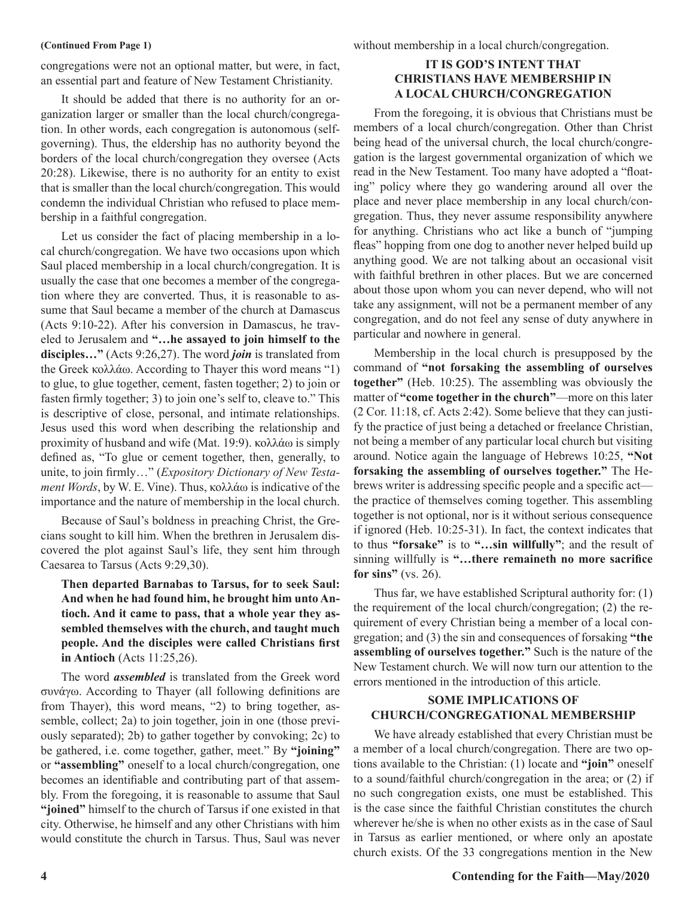#### **(Continued From Page 1)**

congregations were not an optional matter, but were, in fact, an essential part and feature of New Testament Christianity.

It should be added that there is no authority for an organization larger or smaller than the local church/congregation. In other words, each congregation is autonomous (selfgoverning). Thus, the eldership has no authority beyond the borders of the local church/congregation they oversee (Acts 20:28). Likewise, there is no authority for an entity to exist that is smaller than the local church/congregation. This would condemn the individual Christian who refused to place membership in a faithful congregation.

Let us consider the fact of placing membership in a local church/congregation. We have two occasions upon which Saul placed membership in a local church/congregation. It is usually the case that one becomes a member of the congregation where they are converted. Thus, it is reasonable to assume that Saul became a member of the church at Damascus (Acts 9:10-22). After his conversion in Damascus, he traveled to Jerusalem and **"…he assayed to join himself to the disciples…"** (Acts 9:26,27). The word *join* is translated from the Greek κολλάω. According to Thayer this word means "1) to glue, to glue together, cement, fasten together; 2) to join or fasten firmly together; 3) to join one's self to, cleave to." This is descriptive of close, personal, and intimate relationships. Jesus used this word when describing the relationship and proximity of husband and wife (Mat. 19:9). κολλάω is simply defined as, "To glue or cement together, then, generally, to unite, to join firmly…" (*Expository Dictionary of New Testament Words*, by W. E. Vine). Thus, κολλάω is indicative of the importance and the nature of membership in the local church.

Because of Saul's boldness in preaching Christ, the Grecians sought to kill him. When the brethren in Jerusalem discovered the plot against Saul's life, they sent him through Caesarea to Tarsus (Acts 9:29,30).

**Then departed Barnabas to Tarsus, for to seek Saul: And when he had found him, he brought him unto Antioch. And it came to pass, that a whole year they assembled themselves with the church, and taught much people. And the disciples were called Christians first in Antioch** (Acts 11:25,26).

The word *assembled* is translated from the Greek word συνάγω. According to Thayer (all following definitions are from Thayer), this word means, "2) to bring together, assemble, collect; 2a) to join together, join in one (those previously separated); 2b) to gather together by convoking; 2c) to be gathered, i.e. come together, gather, meet." By **"joining"**  or **"assembling"** oneself to a local church/congregation, one becomes an identifiable and contributing part of that assembly. From the foregoing, it is reasonable to assume that Saul **"joined"** himself to the church of Tarsus if one existed in that city. Otherwise, he himself and any other Christians with him would constitute the church in Tarsus. Thus, Saul was never without membership in a local church/congregation.

### **IT IS GOD'S INTENT THAT CHRISTIANS HAVE MEMBERSHIP IN A LOCAL CHURCH/CONGREGATION**

From the foregoing, it is obvious that Christians must be members of a local church/congregation. Other than Christ being head of the universal church, the local church/congregation is the largest governmental organization of which we read in the New Testament. Too many have adopted a "floating" policy where they go wandering around all over the place and never place membership in any local church/congregation. Thus, they never assume responsibility anywhere for anything. Christians who act like a bunch of "jumping fleas" hopping from one dog to another never helped build up anything good. We are not talking about an occasional visit with faithful brethren in other places. But we are concerned about those upon whom you can never depend, who will not take any assignment, will not be a permanent member of any congregation, and do not feel any sense of duty anywhere in particular and nowhere in general.

Membership in the local church is presupposed by the command of **"not forsaking the assembling of ourselves together"** (Heb. 10:25). The assembling was obviously the matter of **"come together in the church"**—more on this later (2 Cor. 11:18, cf. Acts 2:42). Some believe that they can justify the practice of just being a detached or freelance Christian, not being a member of any particular local church but visiting around. Notice again the language of Hebrews 10:25, **"Not forsaking the assembling of ourselves together."** The Hebrews writer is addressing specific people and a specific act the practice of themselves coming together. This assembling together is not optional, nor is it without serious consequence if ignored (Heb. 10:25-31). In fact, the context indicates that to thus **"forsake"** is to **"…sin willfully"**; and the result of sinning willfully is **"…there remaineth no more sacrifice for sins"** (vs. 26).

Thus far, we have established Scriptural authority for: (1) the requirement of the local church/congregation; (2) the requirement of every Christian being a member of a local congregation; and (3) the sin and consequences of forsaking **"the assembling of ourselves together."** Such is the nature of the New Testament church. We will now turn our attention to the errors mentioned in the introduction of this article.

### **SOME IMPLICATIONS OF CHURCH/CONGREGATIONAL MEMBERSHIP**

We have already established that every Christian must be a member of a local church/congregation. There are two options available to the Christian: (1) locate and **"join"** oneself to a sound/faithful church/congregation in the area; or (2) if no such congregation exists, one must be established. This is the case since the faithful Christian constitutes the church wherever he/she is when no other exists as in the case of Saul in Tarsus as earlier mentioned, or where only an apostate church exists. Of the 33 congregations mention in the New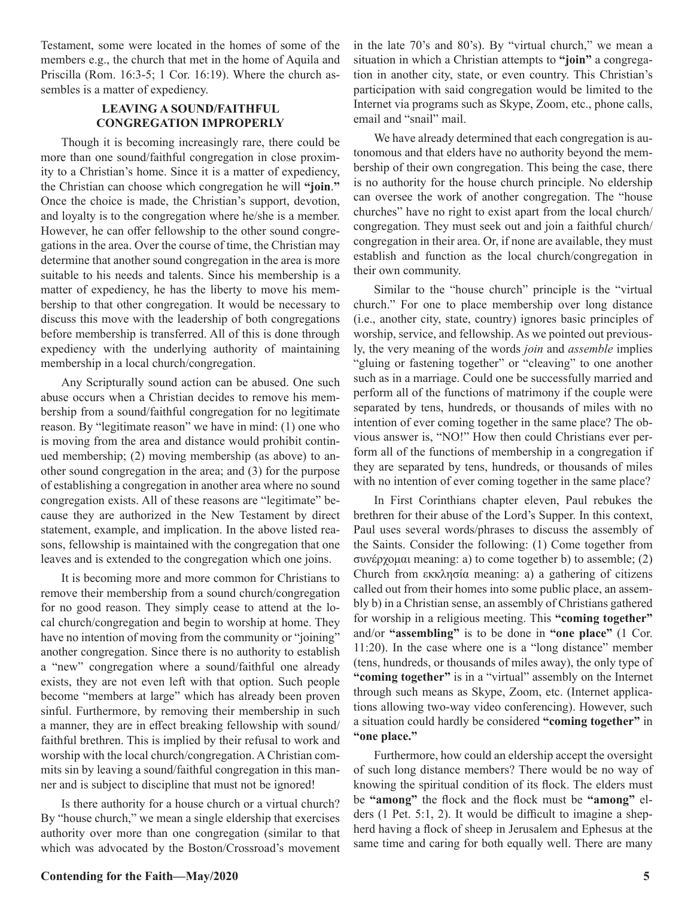Testament, some were located in the homes of some of the members e.g., the church that met in the home of Aquila and Priscilla (Rom. 16:3-5; 1 Cor. 16:19). Where the church assembles is a matter of expediency.

### **LEAVING A SOUND/FAITHFUL CONGREGATION IMPROPERLY**

Though it is becoming increasingly rare, there could be more than one sound/faithful congregation in close proximity to a Christian's home. Since it is a matter of expediency, the Christian can choose which congregation he will **"join**.**"** Once the choice is made, the Christian's support, devotion, and loyalty is to the congregation where he/she is a member. However, he can offer fellowship to the other sound congregations in the area. Over the course of time, the Christian may determine that another sound congregation in the area is more suitable to his needs and talents. Since his membership is a matter of expediency, he has the liberty to move his membership to that other congregation. It would be necessary to discuss this move with the leadership of both congregations before membership is transferred. All of this is done through expediency with the underlying authority of maintaining membership in a local church/congregation.

Any Scripturally sound action can be abused. One such abuse occurs when a Christian decides to remove his membership from a sound/faithful congregation for no legitimate reason. By "legitimate reason" we have in mind: (1) one who is moving from the area and distance would prohibit continued membership; (2) moving membership (as above) to another sound congregation in the area; and (3) for the purpose of establishing a congregation in another area where no sound congregation exists. All of these reasons are "legitimate" because they are authorized in the New Testament by direct statement, example, and implication. In the above listed reasons, fellowship is maintained with the congregation that one leaves and is extended to the congregation which one joins.

It is becoming more and more common for Christians to remove their membership from a sound church/congregation for no good reason. They simply cease to attend at the local church/congregation and begin to worship at home. They have no intention of moving from the community or "joining" another congregation. Since there is no authority to establish a "new" congregation where a sound/faithful one already exists, they are not even left with that option. Such people become "members at large" which has already been proven sinful. Furthermore, by removing their membership in such a manner, they are in effect breaking fellowship with sound/ faithful brethren. This is implied by their refusal to work and worship with the local church/congregation. A Christian commits sin by leaving a sound/faithful congregation in this manner and is subject to discipline that must not be ignored!

Is there authority for a house church or a virtual church? By "house church," we mean a single eldership that exercises authority over more than one congregation (similar to that which was advocated by the Boston/Crossroad's movement in the late 70's and 80's). By "virtual church," we mean a situation in which a Christian attempts to **"join"** a congregation in another city, state, or even country. This Christian's participation with said congregation would be limited to the Internet via programs such as Skype, Zoom, etc., phone calls, email and "snail" mail.

We have already determined that each congregation is autonomous and that elders have no authority beyond the membership of their own congregation. This being the case, there is no authority for the house church principle. No eldership can oversee the work of another congregation. The "house churches" have no right to exist apart from the local church/ congregation. They must seek out and join a faithful church/ congregation in their area. Or, if none are available, they must establish and function as the local church/congregation in their own community.

Similar to the "house church" principle is the "virtual church." For one to place membership over long distance (i.e., another city, state, country) ignores basic principles of worship, service, and fellowship. As we pointed out previously, the very meaning of the words *join* and *assemble* implies "gluing or fastening together" or "cleaving" to one another such as in a marriage. Could one be successfully married and perform all of the functions of matrimony if the couple were separated by tens, hundreds, or thousands of miles with no intention of ever coming together in the same place? The obvious answer is, "NO!" How then could Christians ever perform all of the functions of membership in a congregation if they are separated by tens, hundreds, or thousands of miles with no intention of ever coming together in the same place?

In First Corinthians chapter eleven, Paul rebukes the brethren for their abuse of the Lord's Supper. In this context, Paul uses several words/phrases to discuss the assembly of the Saints. Consider the following: (1) Come together from συνέρχομαι meaning: a) to come together b) to assemble; (2) Church from εκκλησία meaning: a) a gathering of citizens called out from their homes into some public place, an assembly b) in a Christian sense, an assembly of Christians gathered for worship in a religious meeting. This **"coming together"** and/or **"assembling"** is to be done in **"one place"** (1 Cor. 11:20). In the case where one is a "long distance" member (tens, hundreds, or thousands of miles away), the only type of **"coming together"** is in a "virtual" assembly on the Internet through such means as Skype, Zoom, etc. (Internet applications allowing two-way video conferencing). However, such a situation could hardly be considered **"coming together"** in **"one place."**

Furthermore, how could an eldership accept the oversight of such long distance members? There would be no way of knowing the spiritual condition of its flock. The elders must be **"among"** the flock and the flock must be **"among"** elders (1 Pet. 5:1, 2). It would be difficult to imagine a shepherd having a flock of sheep in Jerusalem and Ephesus at the same time and caring for both equally well. There are many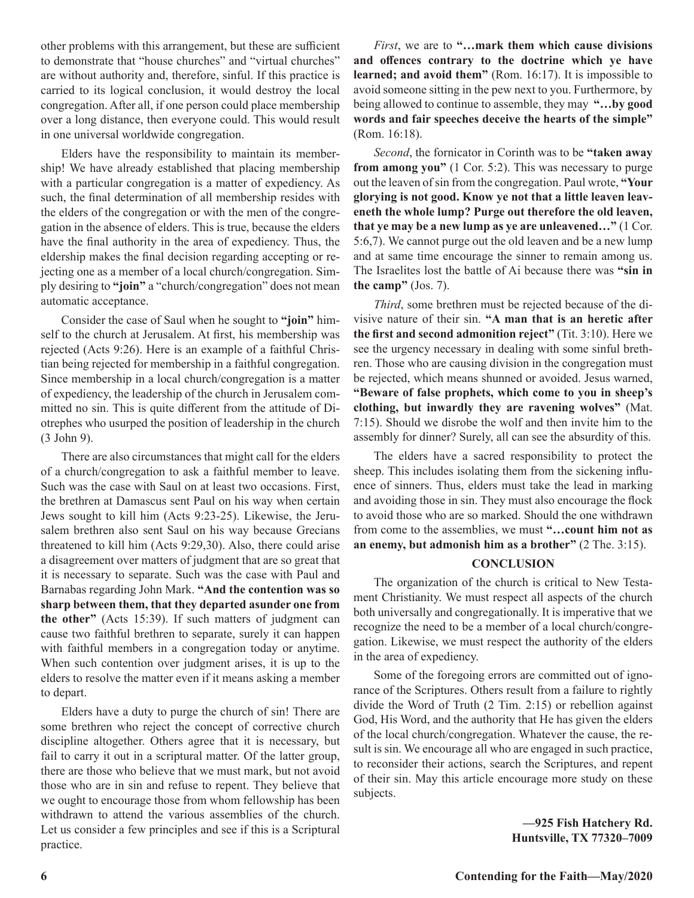other problems with this arrangement, but these are sufficient to demonstrate that "house churches" and "virtual churches" are without authority and, therefore, sinful. If this practice is carried to its logical conclusion, it would destroy the local congregation. After all, if one person could place membership over a long distance, then everyone could. This would result in one universal worldwide congregation.

Elders have the responsibility to maintain its membership! We have already established that placing membership with a particular congregation is a matter of expediency. As such, the final determination of all membership resides with the elders of the congregation or with the men of the congregation in the absence of elders. This is true, because the elders have the final authority in the area of expediency. Thus, the eldership makes the final decision regarding accepting or rejecting one as a member of a local church/congregation. Simply desiring to **"join"** a "church/congregation" does not mean automatic acceptance.

Consider the case of Saul when he sought to **"join"** himself to the church at Jerusalem. At first, his membership was rejected (Acts 9:26). Here is an example of a faithful Christian being rejected for membership in a faithful congregation. Since membership in a local church/congregation is a matter of expediency, the leadership of the church in Jerusalem committed no sin. This is quite different from the attitude of Diotrephes who usurped the position of leadership in the church (3 John 9).

There are also circumstances that might call for the elders of a church/congregation to ask a faithful member to leave. Such was the case with Saul on at least two occasions. First, the brethren at Damascus sent Paul on his way when certain Jews sought to kill him (Acts 9:23-25). Likewise, the Jerusalem brethren also sent Saul on his way because Grecians threatened to kill him (Acts 9:29,30). Also, there could arise a disagreement over matters of judgment that are so great that it is necessary to separate. Such was the case with Paul and Barnabas regarding John Mark. **"And the contention was so sharp between them, that they departed asunder one from the other"** (Acts 15:39). If such matters of judgment can cause two faithful brethren to separate, surely it can happen with faithful members in a congregation today or anytime. When such contention over judgment arises, it is up to the elders to resolve the matter even if it means asking a member to depart.

Elders have a duty to purge the church of sin! There are some brethren who reject the concept of corrective church discipline altogether. Others agree that it is necessary, but fail to carry it out in a scriptural matter. Of the latter group, there are those who believe that we must mark, but not avoid those who are in sin and refuse to repent. They believe that we ought to encourage those from whom fellowship has been withdrawn to attend the various assemblies of the church. Let us consider a few principles and see if this is a Scriptural practice.

*First*, we are to **"…mark them which cause divisions and offences contrary to the doctrine which ye have learned; and avoid them"** (Rom. 16:17). It is impossible to avoid someone sitting in the pew next to you. Furthermore, by being allowed to continue to assemble, they may **"…by good words and fair speeches deceive the hearts of the simple"** (Rom. 16:18).

*Second*, the fornicator in Corinth was to be **"taken away from among you"** (1 Cor. 5:2). This was necessary to purge out the leaven of sin from the congregation. Paul wrote, **"Your glorying is not good. Know ye not that a little leaven leaveneth the whole lump? Purge out therefore the old leaven, that ye may be a new lump as ye are unleavened…"** (1 Cor. 5:6,7). We cannot purge out the old leaven and be a new lump and at same time encourage the sinner to remain among us. The Israelites lost the battle of Ai because there was **"sin in the camp"** (Jos. 7).

*Third*, some brethren must be rejected because of the divisive nature of their sin. **"A man that is an heretic after the first and second admonition reject"** (Tit. 3:10). Here we see the urgency necessary in dealing with some sinful brethren. Those who are causing division in the congregation must be rejected, which means shunned or avoided. Jesus warned, **"Beware of false prophets, which come to you in sheep's clothing, but inwardly they are ravening wolves"** (Mat. 7:15). Should we disrobe the wolf and then invite him to the assembly for dinner? Surely, all can see the absurdity of this.

The elders have a sacred responsibility to protect the sheep. This includes isolating them from the sickening influence of sinners. Thus, elders must take the lead in marking and avoiding those in sin. They must also encourage the flock to avoid those who are so marked. Should the one withdrawn from come to the assemblies, we must **"…count him not as an enemy, but admonish him as a brother"** (2 The. 3:15).

### **CONCLUSION**

The organization of the church is critical to New Testament Christianity. We must respect all aspects of the church both universally and congregationally. It is imperative that we recognize the need to be a member of a local church/congregation. Likewise, we must respect the authority of the elders in the area of expediency.

Some of the foregoing errors are committed out of ignorance of the Scriptures. Others result from a failure to rightly divide the Word of Truth (2 Tim. 2:15) or rebellion against God, His Word, and the authority that He has given the elders of the local church/congregation. Whatever the cause, the result is sin. We encourage all who are engaged in such practice, to reconsider their actions, search the Scriptures, and repent of their sin. May this article encourage more study on these subjects.

> **—925 Fish Hatchery Rd. Huntsville, TX 77320–7009**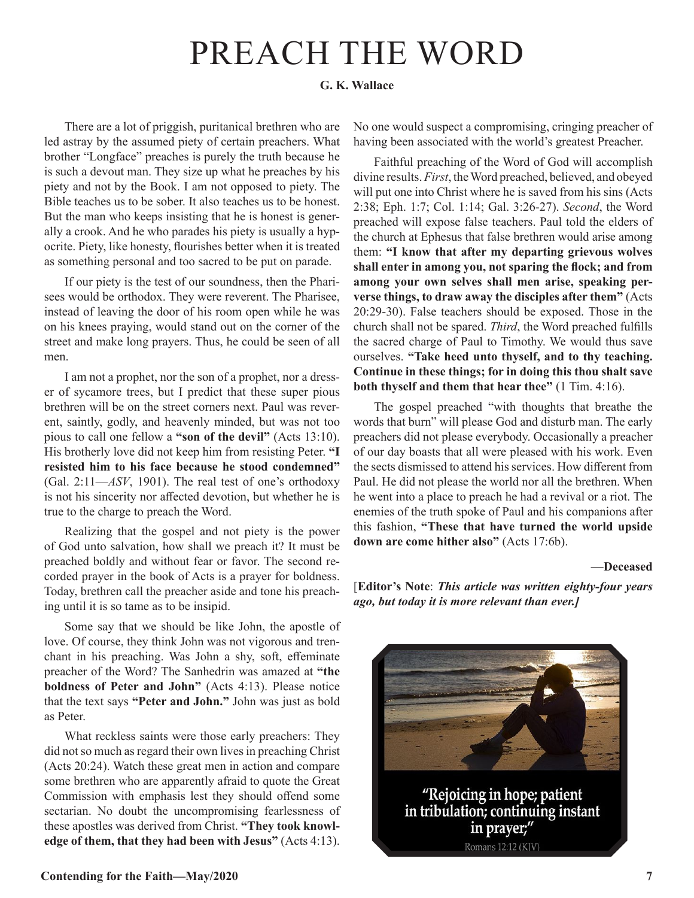# PREACH THE WORD

### **G. K. Wallace**

There are a lot of priggish, puritanical brethren who are led astray by the assumed piety of certain preachers. What brother "Longface" preaches is purely the truth because he is such a devout man. They size up what he preaches by his piety and not by the Book. I am not opposed to piety. The Bible teaches us to be sober. It also teaches us to be honest. But the man who keeps insisting that he is honest is generally a crook. And he who parades his piety is usually a hypocrite. Piety, like honesty, flourishes better when it is treated as something personal and too sacred to be put on parade.

If our piety is the test of our soundness, then the Pharisees would be orthodox. They were reverent. The Pharisee, instead of leaving the door of his room open while he was on his knees praying, would stand out on the corner of the street and make long prayers. Thus, he could be seen of all men.

I am not a prophet, nor the son of a prophet, nor a dresser of sycamore trees, but I predict that these super pious brethren will be on the street corners next. Paul was reverent, saintly, godly, and heavenly minded, but was not too pious to call one fellow a **"son of the devil"** (Acts 13:10). His brotherly love did not keep him from resisting Peter. **"I resisted him to his face because he stood condemned"** (Gal. 2:11—*ASV*, 1901). The real test of one's orthodoxy is not his sincerity nor affected devotion, but whether he is true to the charge to preach the Word.

Realizing that the gospel and not piety is the power of God unto salvation, how shall we preach it? It must be preached boldly and without fear or favor. The second recorded prayer in the book of Acts is a prayer for boldness. Today, brethren call the preacher aside and tone his preaching until it is so tame as to be insipid.

Some say that we should be like John, the apostle of love. Of course, they think John was not vigorous and trenchant in his preaching. Was John a shy, soft, effeminate preacher of the Word? The Sanhedrin was amazed at **"the boldness of Peter and John"** (Acts 4:13). Please notice that the text says **"Peter and John."** John was just as bold as Peter.

What reckless saints were those early preachers: They did not so much as regard their own lives in preaching Christ (Acts 20:24). Watch these great men in action and compare some brethren who are apparently afraid to quote the Great Commission with emphasis lest they should offend some sectarian. No doubt the uncompromising fearlessness of these apostles was derived from Christ. **"They took knowledge of them, that they had been with Jesus"** (Acts 4:13).

No one would suspect a compromising, cringing preacher of having been associated with the world's greatest Preacher.

Faithful preaching of the Word of God will accomplish divine results. *First*, the Word preached, believed, and obeyed will put one into Christ where he is saved from his sins (Acts 2:38; Eph. 1:7; Col. 1:14; Gal. 3:26-27). *Second*, the Word preached will expose false teachers. Paul told the elders of the church at Ephesus that false brethren would arise among them: **"I know that after my departing grievous wolves shall enter in among you, not sparing the flock; and from among your own selves shall men arise, speaking perverse things, to draw away the disciples after them"** (Acts 20:29-30). False teachers should be exposed. Those in the church shall not be spared. *Third*, the Word preached fulfills the sacred charge of Paul to Timothy. We would thus save ourselves. **"Take heed unto thyself, and to thy teaching. Continue in these things; for in doing this thou shalt save both thyself and them that hear thee"** (1 Tim. 4:16).

The gospel preached "with thoughts that breathe the words that burn" will please God and disturb man. The early preachers did not please everybody. Occasionally a preacher of our day boasts that all were pleased with his work. Even the sects dismissed to attend his services. How different from Paul. He did not please the world nor all the brethren. When he went into a place to preach he had a revival or a riot. The enemies of the truth spoke of Paul and his companions after this fashion, **"These that have turned the world upside down are come hither also"** (Acts 17:6b).

**—Deceased**

[**Editor's Note**: *This article was written eighty-four years ago, but today it is more relevant than ever.]*